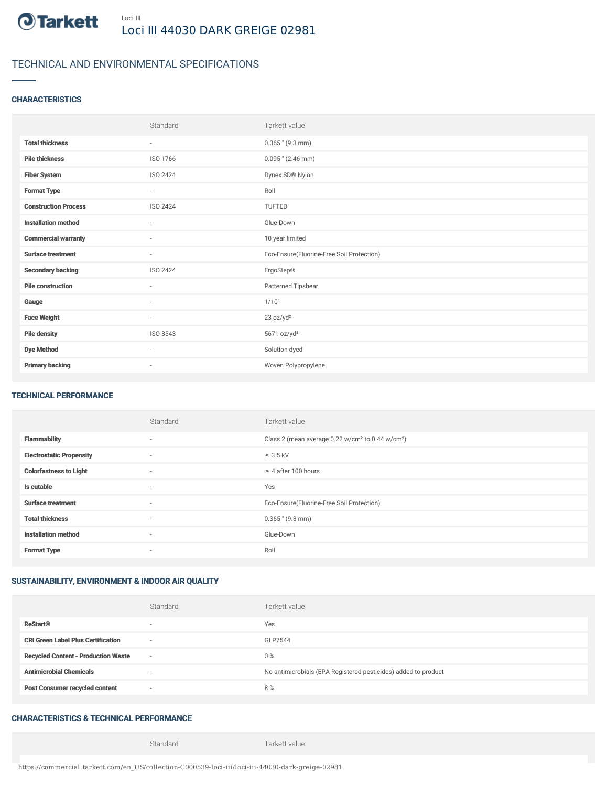

# TECHNICAL AND ENVIRONMENTAL SPECIFICATIONS

### **CHARACTERISTICS**

|                             | Standard                 | Tarkett value                             |
|-----------------------------|--------------------------|-------------------------------------------|
| <b>Total thickness</b>      | ٠                        | $0.365$ " (9.3 mm)                        |
| <b>Pile thickness</b>       | ISO 1766                 | $0.095$ " (2.46 mm)                       |
| <b>Fiber System</b>         | <b>ISO 2424</b>          | Dynex SD® Nylon                           |
| <b>Format Type</b>          | $\overline{\phantom{a}}$ | Roll                                      |
| <b>Construction Process</b> | ISO 2424                 | <b>TUFTED</b>                             |
| <b>Installation method</b>  | $\sim$                   | Glue-Down                                 |
| <b>Commercial warranty</b>  | $\sim$                   | 10 year limited                           |
| <b>Surface treatment</b>    | $\overline{\phantom{a}}$ | Eco-Ensure(Fluorine-Free Soil Protection) |
| <b>Secondary backing</b>    | ISO 2424                 | ErgoStep®                                 |
| <b>Pile construction</b>    | $\sim$                   | Patterned Tipshear                        |
| Gauge                       | $\sim$                   | 1/10"                                     |
| <b>Face Weight</b>          | $\sim$                   | 23 oz/yd <sup>2</sup>                     |
| <b>Pile density</b>         | ISO 8543                 | 5671 oz/yd <sup>3</sup>                   |
| <b>Dye Method</b>           | $\sim$                   | Solution dyed                             |
| <b>Primary backing</b>      | $\overline{\phantom{a}}$ | Woven Polypropylene                       |

#### TECHNICAL PERFORMANCE

|                                 | Standard                 | Tarkett value                                                            |
|---------------------------------|--------------------------|--------------------------------------------------------------------------|
| <b>Flammability</b>             | $\overline{\phantom{a}}$ | Class 2 (mean average 0.22 w/cm <sup>2</sup> to 0.44 w/cm <sup>2</sup> ) |
| <b>Electrostatic Propensity</b> | $\overline{\phantom{a}}$ | $\leq$ 3.5 kV                                                            |
| <b>Colorfastness to Light</b>   | $\overline{\phantom{a}}$ | $\geq 4$ after 100 hours                                                 |
| Is cutable                      | $\overline{\phantom{a}}$ | Yes                                                                      |
| <b>Surface treatment</b>        | $\overline{\phantom{a}}$ | Eco-Ensure(Fluorine-Free Soil Protection)                                |
| <b>Total thickness</b>          | $\overline{\phantom{a}}$ | $0.365$ " (9.3 mm)                                                       |
| <b>Installation method</b>      | $\overline{\phantom{a}}$ | Glue-Down                                                                |
| <b>Format Type</b>              | $\overline{\phantom{a}}$ | Roll                                                                     |

### SUSTAINABILITY, ENVIRONMENT & INDOOR AIR QUALITY

|                                            | Standard                 | Tarkett value                                                  |
|--------------------------------------------|--------------------------|----------------------------------------------------------------|
| <b>ReStart®</b>                            | $\overline{\phantom{a}}$ | Yes                                                            |
| <b>CRI Green Label Plus Certification</b>  | $\sim$                   | GLP7544                                                        |
| <b>Recycled Content - Production Waste</b> | $\sim$                   | $0\%$                                                          |
| <b>Antimicrobial Chemicals</b>             |                          | No antimicrobials (EPA Registered pesticides) added to product |
| <b>Post Consumer recycled content</b>      | $\sim$                   | 8%                                                             |

## CHARACTERISTICS & TECHNICAL PERFORMANCE

Standard Tarkett value